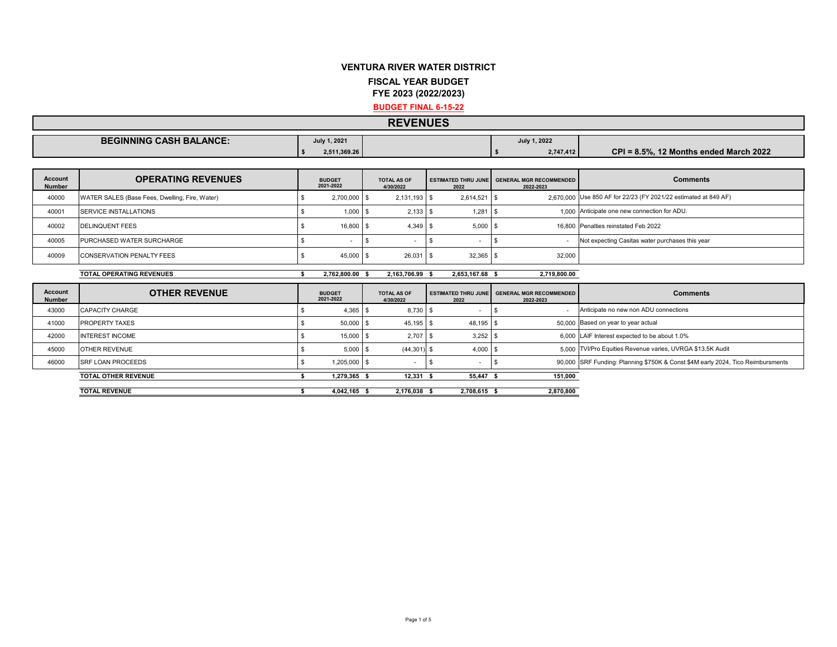## **VENTURA RIVER WATER DISTRICT FISCAL YEAR BUDGET**

**FYE 2023 (2022/2023)**

**BUDGET FINAL 6-15-22**

## **REVENUES**

| <b>BEGINNING CASH BALANCE:</b> | v 1, 2021<br>⊸ulv. | July 1, 2022 |                                              |
|--------------------------------|--------------------|--------------|----------------------------------------------|
|                                | 2,511,369.26       | 2.747.412    | $CPI = 8.5%$<br>. 12 Months ended March 2022 |

| <b>Account</b><br><b>Number</b> | <b>OPERATING REVENUES</b>                      | <b>BUDGET</b><br>2021-2022 |  | <b>TOTAL AS OF</b><br>4/30/2022 | 2022            | <b>ESTIMATED THRU JUNE GENERAL MGR RECOMMENDED</b><br>2022-2023 | <b>Comments</b>                                                 |
|---------------------------------|------------------------------------------------|----------------------------|--|---------------------------------|-----------------|-----------------------------------------------------------------|-----------------------------------------------------------------|
| 40000                           | WATER SALES (Base Fees, Dwelling, Fire, Water) | 2.700.000 \$               |  | $2.131.193$ \$                  | $2.614.521$ \$  |                                                                 | 2.670.000 Use 850 AF for 22/23 (FY 2021/22 estimated at 849 AF) |
| 40001                           | <b>SERVICE INSTALLATIONS</b>                   | $1,000$ \$                 |  | $2,133$ \$                      |                 |                                                                 | 1.000 Anticipate one new connection for ADU.                    |
| 40002                           | <b>DELINQUENT FEES</b>                         | 16,800 \$                  |  | $4.349$ \$                      | $5.000$ \$      |                                                                 | 16,800 Penalties reinstated Feb 2022                            |
| 40005                           | PURCHASED WATER SURCHARGE                      |                            |  |                                 |                 |                                                                 | Not expecting Casitas water purchases this year                 |
| 40009                           | <b>CONSERVATION PENALTY FEES</b>               | 45,000 \$                  |  | $26.031$ \ \$                   | $32.365$ \$     | 32.000                                                          |                                                                 |
|                                 | <b>TOTAL OPERATING REVENUES</b>                | 2.762.800.00 \$            |  | 2.163.706.99 \$                 | 2.653.167.68 \$ | 2.719.800.00                                                    |                                                                 |
| <b>Account</b>                  | <b>OTHER REVENUE</b>                           | <b>BUDGET</b>              |  | <b>TOTAL AS OF</b>              |                 | ESTIMATED THRU JUNE GENERAL MGR RECOMMENDED                     | <b>Comments</b>                                                 |

| <b>Account</b><br><b>Number</b> | <b>OTHER REVENUE</b>       | <b>BUDGET</b><br>2021-2022 |              | <b>TOTAL AS OF</b><br>4/30/2022 | 2022         |            | <b>ESTIMATED THRU JUNE GENERAL MGR RECOMMENDED</b><br>2022-2023 | <b>Comments</b>                                                                 |  |
|---------------------------------|----------------------------|----------------------------|--------------|---------------------------------|--------------|------------|-----------------------------------------------------------------|---------------------------------------------------------------------------------|--|
| 43000                           | CAPACITY CHARGE            |                            |              | 8.730 \$                        |              |            |                                                                 | Anticipate no new non ADU connections                                           |  |
| 41000                           | <b>PROPERTY TAXES</b>      |                            | 50,000 \$    | 45.195 \$                       | 48.195 \$    |            |                                                                 | 50,000 Based on year to year actual                                             |  |
| 42000                           | <b>INTEREST INCOME</b>     |                            | 15,000 \$    | 2.707                           |              | $3.252$ \$ |                                                                 | 6,000 LAIF Interest expected to be about 1.0%                                   |  |
| 45000                           | OTHER REVENUE              |                            | $5.000$ \$   | (44.301)                        |              | $4.000$ \$ |                                                                 | 5,000 TVI/Pro Equities Revenue varies, UVRGA \$13.5K Audit                      |  |
| 46000                           | <b>SRF LOAN PROCEEDS</b>   |                            | 1.205.000 \$ |                                 |              |            |                                                                 | 90,000 SRF Funding: Planning \$750K & Const \$4M early 2024, Tico Reimbursments |  |
|                                 | <b>TOTAL OTHER REVENUE</b> |                            | 1.279.365 \$ | $12,331$ \$                     | 55,447 \$    |            | 151,000                                                         |                                                                                 |  |
|                                 | <b>TOTAL REVENUE</b>       |                            | 4.042.165    | 2.176.038                       | 2.708.615 \$ |            | 2.870.800                                                       |                                                                                 |  |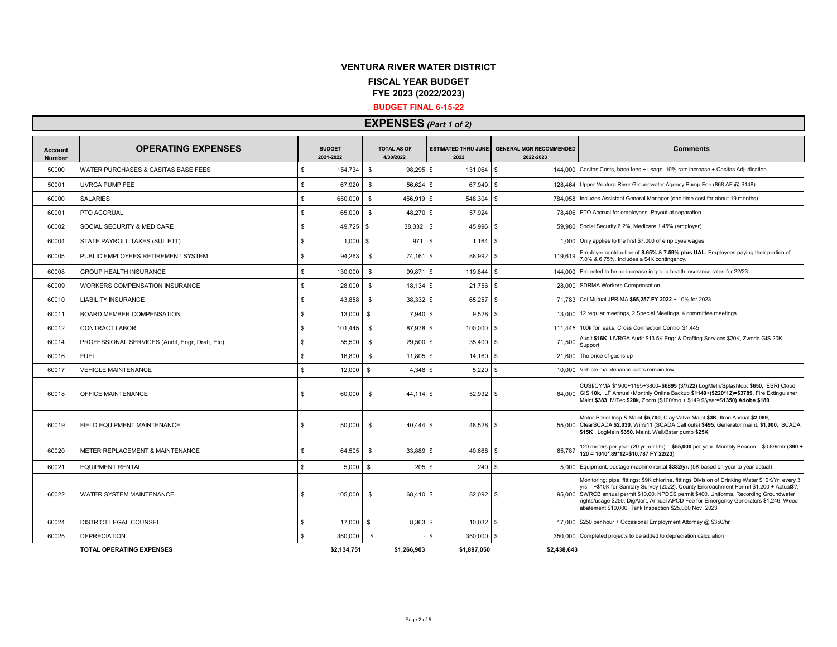## **VENTURA RIVER WATER DISTRICT FISCAL YEAR BUDGET FYE 2023 (2022/2023)**

#### **BUDGET FINAL 6-15-22**

|                                 | <b>EXPENSES</b> (Part 1 of 2)                   |                            |                                 |                                    |                                             |                                                                                                                                                                                                                                                                                                                                                                                                                                           |  |  |  |  |  |  |
|---------------------------------|-------------------------------------------------|----------------------------|---------------------------------|------------------------------------|---------------------------------------------|-------------------------------------------------------------------------------------------------------------------------------------------------------------------------------------------------------------------------------------------------------------------------------------------------------------------------------------------------------------------------------------------------------------------------------------------|--|--|--|--|--|--|
| <b>Account</b><br><b>Number</b> | <b>OPERATING EXPENSES</b>                       | <b>BUDGET</b><br>2021-2022 | <b>TOTAL AS OF</b><br>4/30/2022 | <b>ESTIMATED THRU JUNE</b><br>2022 | <b>GENERAL MGR RECOMMENDED</b><br>2022-2023 | <b>Comments</b>                                                                                                                                                                                                                                                                                                                                                                                                                           |  |  |  |  |  |  |
| 50000                           | <b>WATER PURCHASES &amp; CASITAS BASE FEES</b>  | 154,734<br>\$.             | $\mathbb{S}$<br>98,295 \$       | 131,064 \$                         |                                             | 144,000 Casitas Costs, base fees + usage, 10% rate increase + Casitas Adjudication                                                                                                                                                                                                                                                                                                                                                        |  |  |  |  |  |  |
| 50001                           | UVRGA PUMP FEE                                  | \$<br>67,920               | S.<br>$56,624$ \$               | 67,949                             | \$                                          | 128,464 Upper Ventura River Groundwater Agency Pump Fee (868 AF @ \$148)                                                                                                                                                                                                                                                                                                                                                                  |  |  |  |  |  |  |
| 60000                           | <b>SALARIES</b>                                 | \$<br>650,000              | $\mathbb{S}$<br>456,919 \$      | 548,304                            | $\mathbf{s}$                                | 784.058 Includes Assistant General Manager (one time cost for about 19 months)                                                                                                                                                                                                                                                                                                                                                            |  |  |  |  |  |  |
| 60001                           | PTO ACCRUAL                                     | \$<br>65,000               | \$<br>48,270 \$                 | 57.924                             |                                             | 78.406 PTO Accrual for employees. Payout at separation.                                                                                                                                                                                                                                                                                                                                                                                   |  |  |  |  |  |  |
| 60002                           | SOCIAL SECURITY & MEDICARE                      | \$<br>49,725               | $\sqrt{3}$<br>38,332            | 45,996<br>$\mathbf{s}$             | \$                                          | 59.980 Social Security 6.2%, Medicare 1.45% (employer)                                                                                                                                                                                                                                                                                                                                                                                    |  |  |  |  |  |  |
| 60004                           | STATE PAYROLL TAXES (SUI, ETT)                  | £.<br>1,000                | 971<br>$\mathbf{s}$             | $\mathbb{S}$<br>1,164              | \$                                          | 1.000 Only applies to the first \$7,000 of employee wages                                                                                                                                                                                                                                                                                                                                                                                 |  |  |  |  |  |  |
| 60005                           | PUBLIC EMPLOYEES RETIREMENT SYSTEM              | \$<br>94,263               | S.<br>74,161 \$                 | 88,992 \$                          | 119,619                                     | Employer contribution of 8.65% & 7.59% plus UAL. Employees paying their portion of<br>7.0% & 6.75%. Includes a \$4K contingency.                                                                                                                                                                                                                                                                                                          |  |  |  |  |  |  |
| 60008                           | GROUP HEALTH INSURANCE                          | \$<br>130,000              | $\mathbb{S}$<br>99,871 \$       | 119,844                            | -S                                          | 144,000 Projected to be no increase in group health insurance rates for 22/23                                                                                                                                                                                                                                                                                                                                                             |  |  |  |  |  |  |
| 60009                           | WORKERS COMPENSATION INSURANCE                  | \$<br>28,000               | \$<br>$18,134$ \$               | 21,756                             | \$                                          | 28,000 SDRMA Workers Compensation                                                                                                                                                                                                                                                                                                                                                                                                         |  |  |  |  |  |  |
| 60010                           | <b>IABILITY INSURANCE</b>                       | \$<br>43,858               | \$<br>38,332 \$                 | 65,257                             | \$<br>71.783                                | Cal Mutual JPRIMA \$65,257 FY 2022 + 10% for 2023                                                                                                                                                                                                                                                                                                                                                                                         |  |  |  |  |  |  |
| 60011                           | BOARD MEMBER COMPENSATION                       | \$<br>13,000               | $\mathbb{S}$<br>7,940 \$        | 9,528                              | \$                                          | 13,000 12 regular meetings, 2 Special Meetings, 4 committee meetings                                                                                                                                                                                                                                                                                                                                                                      |  |  |  |  |  |  |
| 60012                           | CONTRACT LABOR                                  | \$<br>101,445              | $\mathbb{S}$<br>87,978 \$       | 100,000 \$                         |                                             | 111.445 100k for leaks. Cross Connection Control \$1,445                                                                                                                                                                                                                                                                                                                                                                                  |  |  |  |  |  |  |
| 60014                           | PROFESSIONAL SERVICES (Audit, Engr, Draft, Etc) | \$<br>55,500               | $\mathbb{S}$<br>$29,500$ \$     | 35,400                             | 71,500<br>\$                                | Audit \$16K, UVRGA Audit \$13.5K Engr & Drafting Services \$20K, Zworld GIS 20K<br>Support                                                                                                                                                                                                                                                                                                                                                |  |  |  |  |  |  |
| 60016                           | FUEL                                            | \$<br>16,800               | \$<br>$11,805$ \$               | $14,160$ \$                        |                                             | 21.600 The price of gas is up                                                                                                                                                                                                                                                                                                                                                                                                             |  |  |  |  |  |  |
| 60017                           | <b>/EHICLE MAINTENANCE</b>                      | £.<br>12,000               | \$<br>$4,348$ \$                | 5,220                              | -S<br>10.000                                | Vehicle maintenance costs remain low                                                                                                                                                                                                                                                                                                                                                                                                      |  |  |  |  |  |  |
| 60018                           | OFFICE MAINTENANCE                              | \$<br>60,000               | \$<br>44,114 \$                 | 52,932 \$                          |                                             | CUSI/CYMA \$1900+1195+3800=\$6895 (3/7/22) LogMeln/Splashtop: \$650, ESRI Cloud<br>64,000 GIS 10k, LF Annual+Monthly Online Backup \$1149+(\$220*12)=\$3789, Fire Extinguisher<br>Maint \$383, MiTec \$20k, Zoom (\$100/mo + \$149.9/year=\$1350) Adobe \$180                                                                                                                                                                             |  |  |  |  |  |  |
| 60019                           | FIELD EQUIPMENT MAINTENANCE                     | \$<br>50,000               | \$<br>$40,444$ \$               | 48,528 \$                          |                                             | Motor-Panel Insp & Maint \$5,700, Clay Valve Maint \$3K, Itron Annual \$2,089,<br>55,000 ClearSCADA \$2,030, Win911 (SCADA Call outs) \$495, Generator maint. \$1,000, SCADA<br>\$15K, LogMeln \$350, Maint. Well/Bster pump \$25K                                                                                                                                                                                                        |  |  |  |  |  |  |
| 60020                           | METER REPLACEMENT & MAINTENANCE                 | 64,505<br>\$               | <b>S</b><br>33,889 \$           | 40,668                             | \$<br>65,787                                | 120 meters per year (20 yr mtr life) = \$55,000 per year. Monthly Beacon = \$0.89/mtr (890 +<br>120 = 1010*.89*12=\$10,787 FY 22/23)                                                                                                                                                                                                                                                                                                      |  |  |  |  |  |  |
| 60021                           | <b>EQUIPMENT RENTAL</b>                         | $\mathbf{s}$<br>5.000      | \$<br>205S                      | 240                                | \$                                          | 5.000 Equipment, postage machine rental \$332/yr. (5K based on year to year actual)                                                                                                                                                                                                                                                                                                                                                       |  |  |  |  |  |  |
| 60022                           | WATER SYSTEM MAINTENANCE                        | \$<br>105,000              | \$<br>68,410 \$                 | 82,092 \$                          |                                             | Monitoring; pipe, fittings; \$9K chlorine, fittings Division of Drinking Water \$10K/Yr, every 3<br>yrs = +\$10K for Sanitary Survey (2022). County Encroachment Permit \$1,200 + Actual\$?,<br>95,000 SWRCB annual permit \$10,00, NPDES permit \$400, Uniforms, Recording Groundwater<br>rights/usage \$250, DigAlert, Annual APCD Fee for Emergency Generators \$1,246, Weed<br>abatement \$10,000, Tank Inspection \$25,000 Nov. 2023 |  |  |  |  |  |  |
| 60024                           | DISTRICT LEGAL COUNSEL                          | \$<br>17,000               | \$<br>8,363 \$                  | $10,032$ \$                        |                                             | 17,000 \$250 per hour + Occasional Employment Attorney @ \$350/hr                                                                                                                                                                                                                                                                                                                                                                         |  |  |  |  |  |  |
| 60025                           | <b>DEPRECIATION</b>                             | \$<br>350,000              | \$                              | \$<br>350,000                      | \$<br>350,000                               | Completed projects to be added to depreciation calculation                                                                                                                                                                                                                                                                                                                                                                                |  |  |  |  |  |  |
|                                 | TOTAL OPERATING EXPENSES                        | \$2,134,751                | \$1,266,903                     | \$1,897,050                        | \$2,438,643                                 |                                                                                                                                                                                                                                                                                                                                                                                                                                           |  |  |  |  |  |  |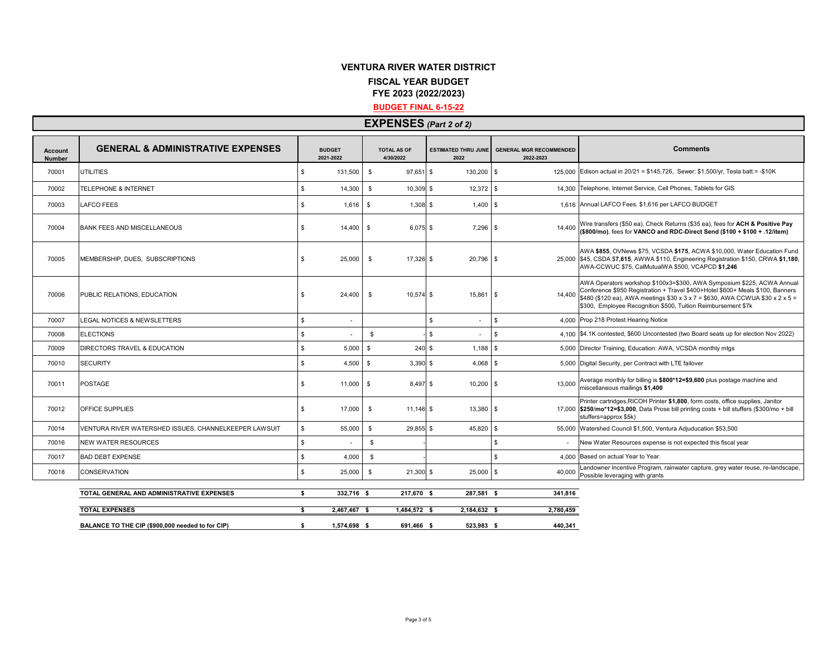### **VENTURA RIVER WATER DISTRICT FISCAL YEAR BUDGET FYE 2023 (2022/2023)**

#### **BUDGET FINAL 6-15-22**

## **EXPENSES** *(Part 2 of 2)*

| <b>Account</b><br><b>Number</b> | <b>GENERAL &amp; ADMINISTRATIVE EXPENSES</b>          | <b>BUDGET</b><br>2021-2022 |              |                | <b>TOTAL AS OF</b><br>4/30/2022 | <b>ESTIMATED THRU JUNE</b><br>2022 | <b>GENERAL MGR RECOMMENDED</b><br>2022-2023 | <b>Comments</b>                                                                                                                                                                                                                                                                                            |
|---------------------------------|-------------------------------------------------------|----------------------------|--------------|----------------|---------------------------------|------------------------------------|---------------------------------------------|------------------------------------------------------------------------------------------------------------------------------------------------------------------------------------------------------------------------------------------------------------------------------------------------------------|
| 70001                           | <b>UTILITIES</b>                                      | \$                         | 131,500      | \$             | $97,651$ \$                     | 130,200                            | \$                                          | 125,000 Edison actual in 20/21 = \$145,726, Sewer: \$1,500/yr, Tesla batt. = -\$10K                                                                                                                                                                                                                        |
| 70002                           | <b>TELEPHONE &amp; INTERNET</b>                       | \$                         | 14,300       | \$             | $10,309$ \$                     | 12,372                             | \$                                          | 14,300 Telephone, Internet Service, Cell Phones, Tablets for GIS                                                                                                                                                                                                                                           |
| 70003                           | <b>LAFCO FEES</b>                                     | \$                         | 1.616        | l \$           | $1.308$ \$                      | 1,400                              | \$                                          | 1.616 Annual LAFCO Fees. \$1,616 per LAFCO BUDGET                                                                                                                                                                                                                                                          |
| 70004                           | <b>BANK FEES AND MISCELLANEOUS</b>                    | \$                         | 14,400       | - \$           | $6,075$ \$                      | 7,296                              | 14.400<br>-\$                               | Wire transfers (\$50 ea), Check Returns (\$35 ea), fees for ACH & Positive Pay<br>(\$800/mo), fees for VANCO and RDC-Direct Send (\$100 + \$100 + .12/item)                                                                                                                                                |
| 70005                           | MEMBERSHIP, DUES. SUBSCRIPTIONS                       | \$                         | 25,000       | - \$           | $17.326$ \$                     | 20.796                             | \$                                          | AWA \$855, OVNews \$75, VCSDA \$175, ACWA \$10,000, Water Education Fund<br>25,000 \$45, CSDA \$7,615, AWWA \$110, Engineering Registration \$150, CRWA \$1,180,<br>AWA-CCWUC \$75, CalMutualWA \$500, VCAPCD \$1,246                                                                                      |
| 70006                           | PUBLIC RELATIONS, EDUCATION                           | \$                         | 24,400       | \$             | $10,574$ \$                     | 15,861                             | 14,400<br><b>β</b>                          | AWA Operators workshop \$100x3=\$300, AWA Symposium \$225, ACWA Annual<br>Conference \$950 Registration + Travel \$400+Hotel \$600+ Meals \$100, Banners<br>\$480 (\$120 ea), AWA meetings \$30 x 3 x 7 = \$630, AWA CCWUA \$30 x 2 x 5 =<br>\$300. Employee Recognition \$500, Tuition Reimbursement \$7k |
| 70007                           | LEGAL NOTICES & NEWSLETTERS                           | Ś.                         |              |                |                                 | \$                                 | $\mathbb{S}$                                | 4.000 Prop 218 Protest Hearing Notice                                                                                                                                                                                                                                                                      |
| 70008                           | <b>ELECTIONS</b>                                      | Ś.                         |              |                | \$                              | \$                                 | $\mathbf{s}$                                | 4.100 \$4.1K contested, \$600 Uncontested (two Board seats up for election Nov 2022)                                                                                                                                                                                                                       |
| 70009                           | DIRECTORS TRAVEL & EDUCATION                          | \$                         | 5.000        | $\mathfrak{L}$ | $240$ \$                        | 1,188                              | $\mathbf{\hat{z}}$                          | 5,000 Director Training, Education: AWA, VCSDA monthly mtgs                                                                                                                                                                                                                                                |
| 70010                           | <b>SECURITY</b>                                       | \$                         | 4,500        | - S            | $3,390$ \$                      | 4,068                              | -\$                                         | 5.000 Digital Security, per Contract with LTE failover                                                                                                                                                                                                                                                     |
| 70011                           | <b>POSTAGE</b>                                        | \$                         | 11,000       | S.             | 8,497 \$                        | 10,200                             | 13,000<br>\$                                | Average monthly for billing is \$800*12=\$9,600 plus postage machine and<br>miscellaneous mailings \$1,400                                                                                                                                                                                                 |
| 70012                           | OFFICE SUPPLIES                                       | \$.                        | 17,000       | $\mathbb{S}$   | $11,146$ \$                     | 13,380                             | \$                                          | Printer cartridges, RICOH Printer \$1,800, form costs, office supplies, Janitor<br>17,000 \$250/mo*12=\$3,000, Data Prose bill printing costs + bill stuffers (\$300/mo + bill<br>stuffers=approx \$5k)                                                                                                    |
| 70014                           | VENTURA RIVER WATERSHED ISSUES. CHANNELKEEPER LAWSUIT | \$.                        | 55,000       |                | \$<br>29,855 \$                 | 45,820                             | \$                                          | 55,000 Watershed Council \$1,500, Ventura Adjuducation \$53,500                                                                                                                                                                                                                                            |
| 70016                           | NEW WATER RESOURCES                                   | \$                         |              |                | \$                              |                                    | \$                                          | New Water Resources expense is not expected this fiscal year                                                                                                                                                                                                                                               |
| 70017                           | <b>BAD DEBT EXPENSE</b>                               | \$                         | 4.000        |                | \$                              |                                    | \$                                          | 4,000 Based on actual Year to Year.                                                                                                                                                                                                                                                                        |
| 70018                           | <b>CONSERVATION</b>                                   | \$                         | 25,000       | $\mathbb{S}$   | $21,300$ \$                     | 25,000                             | \$<br>40.000                                | Landowner Incentive Program, rainwater capture, grey water reuse, re-landscape,<br>Possible leveraging with grants                                                                                                                                                                                         |
|                                 | TOTAL GENERAL AND ADMINISTRATIVE EXPENSES             | s.                         | 332,716 \$   |                | 217,670 \$                      | 287.581 \$                         | 341,816                                     |                                                                                                                                                                                                                                                                                                            |
|                                 | <b>TOTAL EXPENSES</b>                                 | \$                         | 2,467,467 \$ |                | 1,484,572 \$                    | 2,184,632 \$                       | 2,780,459                                   |                                                                                                                                                                                                                                                                                                            |
|                                 | BALANCE TO THE CIP (\$900,000 needed to for CIP)      | s.                         | 1.574.698 \$ |                | 691.466 \$                      | 523.983 \$                         | 440.341                                     |                                                                                                                                                                                                                                                                                                            |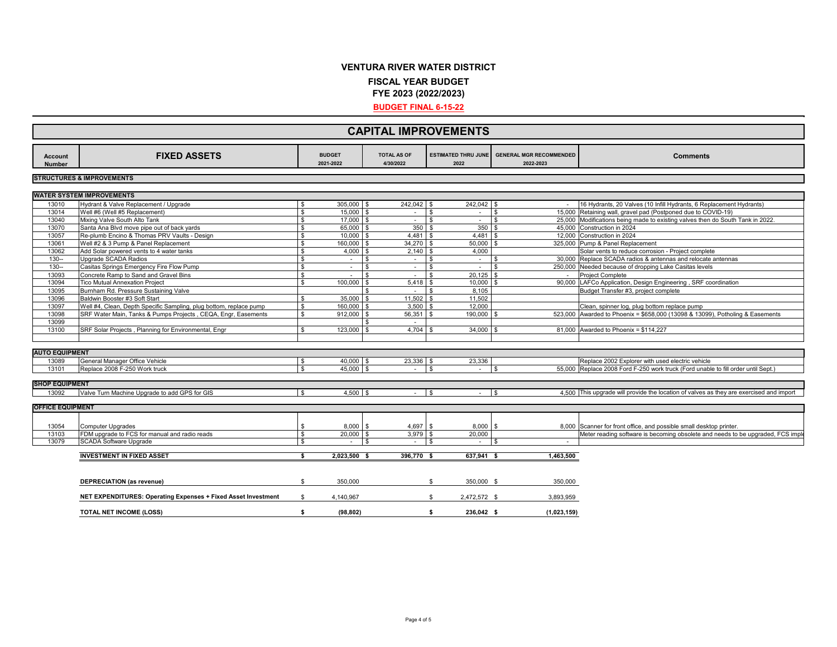# **VENTURA RIVER WATER DISTRICT**

**FISCAL YEAR BUDGET**

**FYE 2023 (2022/2023)**

**BUDGET FINAL 6-15-22**

|                                 | <b>CAPITAL IMPROVEMENTS</b>                                                                                                         |              |                            |                                 |                                    |                       |                                             |                                                                                                                               |  |  |  |  |
|---------------------------------|-------------------------------------------------------------------------------------------------------------------------------------|--------------|----------------------------|---------------------------------|------------------------------------|-----------------------|---------------------------------------------|-------------------------------------------------------------------------------------------------------------------------------|--|--|--|--|
| <b>Account</b><br><b>Number</b> | <b>FIXED ASSETS</b>                                                                                                                 |              | <b>BUDGET</b><br>2021-2022 | <b>TOTAL AS OF</b><br>4/30/2022 | <b>ESTIMATED THRU JUNE</b><br>2022 |                       | <b>GENERAL MGR RECOMMENDED</b><br>2022-2023 | <b>Comments</b>                                                                                                               |  |  |  |  |
|                                 | <b>STRUCTURES &amp; IMPROVEMENTS</b>                                                                                                |              |                            |                                 |                                    |                       |                                             |                                                                                                                               |  |  |  |  |
|                                 | <b>WATER SYSTEM IMPROVEMENTS</b>                                                                                                    |              |                            |                                 |                                    |                       |                                             |                                                                                                                               |  |  |  |  |
| 13010                           | Hydrant & Valve Replacement / Upgrade                                                                                               | -S           | 305,000                    | 242,042 \$                      |                                    | 242.042 \$            |                                             | 16 Hydrants, 20 Valves (10 Infill Hydrants, 6 Replacement Hydrants)                                                           |  |  |  |  |
| 13014                           | Well #6 (Well #5 Replacement)                                                                                                       | \$           | $15,000$ \$                | $\sim$                          | l \$                               | $\sim$                | l \$                                        | 15,000 Retaining wall, gravel pad (Postponed due to COVID-19)                                                                 |  |  |  |  |
| 13040                           | Mixing Valve South Alto Tank                                                                                                        | £.           | 17,000                     | $\mathbf{\hat{S}}$<br>$\sim$    | l \$                               | $\sim$                | <b>S</b>                                    | 25,000 Modifications being made to existing valves then do South Tank in 2022.                                                |  |  |  |  |
| 13070                           | Santa Ana Blvd move pipe out of back yards                                                                                          | \$           | 65,000                     | 350S<br><b>\$</b>               |                                    | 350                   | $\mathbf{s}$                                | 45,000 Construction in 2024                                                                                                   |  |  |  |  |
| 13057                           | Re-plumb Encino & Thomas PRV Vaults - Design                                                                                        | \$           | 10.000                     | $4.481$ \$                      |                                    | 4.481                 |                                             | 12.000 Construction in 2024                                                                                                   |  |  |  |  |
| 13061                           | Well #2 & 3 Pump & Panel Replacement                                                                                                | \$           | 160,000 \$                 | $34,270$ \$                     |                                    | 50,000                | <b>S</b>                                    | 325,000 Pump & Panel Replacement                                                                                              |  |  |  |  |
| 13062                           | Add Solar powered vents to 4 water tanks                                                                                            | \$           | 4,000                      | $2,140$ \$                      |                                    | 4,000                 |                                             | Solar vents to reduce corrosion - Project complete                                                                            |  |  |  |  |
| $130 -$                         | Upgrade SCADA Radios                                                                                                                | \$           |                            | \$<br>$\sim$                    | l \$                               | $\sim$                | \$                                          | 30,000 Replace SCADA radios & antennas and relocate antennas                                                                  |  |  |  |  |
| $130 -$                         | Casitas Springs Emergency Fire Flow Pump                                                                                            | $\mathbf{s}$ | $\sim$                     | \$                              | l \$                               |                       | \$                                          | 250,000 Needed because of dropping Lake Casitas levels                                                                        |  |  |  |  |
|                                 | Concrete Ramp to Sand and Gravel Bins                                                                                               | \$           | $\sim$                     | $\sim$                          | l \$                               | $\sim$<br>$20,125$ \$ |                                             |                                                                                                                               |  |  |  |  |
| 13093<br>13094                  | <b>Tico Mutual Annexation Project</b>                                                                                               | \$           | $\sim$<br>100,000          | \$<br>$\sim$<br>$5,418$ \$      |                                    | 10,000                |                                             | <b>Project Complete</b><br>90,000 LAFCo Application, Design Engineering, SRF coordination                                     |  |  |  |  |
|                                 |                                                                                                                                     |              |                            | $\sim$                          | - \$                               | 8,105                 |                                             | Budget Transfer #3, project complete                                                                                          |  |  |  |  |
| 13095<br>13096                  | Burnham Rd. Pressure Sustaining Valve                                                                                               |              | 35,000                     | 11,502                          |                                    | 11,502                |                                             |                                                                                                                               |  |  |  |  |
|                                 | Baldwin Booster #3 Soft Start                                                                                                       | \$           | 160,000                    | 3,500                           |                                    | 12,000                |                                             |                                                                                                                               |  |  |  |  |
| 13097<br>13098                  | Well #4, Clean, Depth Specific Sampling, plug bottom, replace pump<br>SRF Water Main, Tanks & Pumps Projects, CEQA, Engr, Easements | $\mathbf{s}$ |                            | $56,351$ \$                     |                                    | 190.000               |                                             | Clean, spinner log, plug bottom replace pump<br>523,000 Awarded to Phoenix = \$658,000 (13098 & 13099), Potholing & Easements |  |  |  |  |
|                                 |                                                                                                                                     |              | 912,000                    |                                 |                                    |                       |                                             |                                                                                                                               |  |  |  |  |
| 13099<br>13100                  | SRF Solar Projects, Planning for Environmental, Engr                                                                                | £.           | 123,000                    | $\sim$<br>4,704                 |                                    | $34,000$ \$           |                                             | 81,000 Awarded to Phoenix = \$114,227                                                                                         |  |  |  |  |
|                                 |                                                                                                                                     |              |                            |                                 |                                    |                       |                                             |                                                                                                                               |  |  |  |  |
|                                 |                                                                                                                                     |              |                            |                                 |                                    |                       |                                             |                                                                                                                               |  |  |  |  |
| <b>AUTO EQUIPMENT</b>           |                                                                                                                                     |              |                            |                                 |                                    |                       |                                             |                                                                                                                               |  |  |  |  |
| 13089                           | General Manager Office Vehicle                                                                                                      | \$           | 40,000 \$                  | 23,336 \$                       |                                    | 23,336                |                                             | Replace 2002 Explorer with used electric vehicle                                                                              |  |  |  |  |
| 13101                           |                                                                                                                                     | $\mathbb{S}$ | 45.000                     |                                 | $\mathbf{\hat{s}}$                 |                       | $\mathbf{R}$                                |                                                                                                                               |  |  |  |  |
|                                 | Replace 2008 F-250 Work truck                                                                                                       |              |                            |                                 |                                    |                       |                                             | 55,000 Replace 2008 Ford F-250 work truck (Ford unable to fill order until Sept.)                                             |  |  |  |  |
| <b>SHOP EQUIPMENT</b>           |                                                                                                                                     |              |                            |                                 |                                    |                       |                                             |                                                                                                                               |  |  |  |  |
| 13092                           |                                                                                                                                     |              | $4,500$ \$                 |                                 |                                    |                       |                                             | 4,500 This upgrade will provide the location of valves as they are exercised and import                                       |  |  |  |  |
|                                 | Valve Turn Machine Upgrade to add GPS for GIS                                                                                       |              |                            | $\sim$                          | l s                                | $\sim$                |                                             |                                                                                                                               |  |  |  |  |
| <b>OFFICE EQUIPMENT</b>         |                                                                                                                                     |              |                            |                                 |                                    |                       |                                             |                                                                                                                               |  |  |  |  |
|                                 |                                                                                                                                     |              |                            |                                 |                                    |                       |                                             |                                                                                                                               |  |  |  |  |
| 13054                           | <b>Computer Upgrades</b>                                                                                                            | \$           | 8,000                      | 4,697 \$<br>\$                  |                                    | $8,000$ \$            |                                             | 8,000 Scanner for front office, and possible small desktop printer.                                                           |  |  |  |  |
| 13103                           | FDM upgrade to FCS for manual and radio reads                                                                                       | \$           | 20,000                     | $3,979$ \$                      |                                    | 20,000                |                                             | Meter reading software is becoming obsolete and needs to be upgraded, FCS imple                                               |  |  |  |  |
| 13079                           | <b>SCADA Software Upgrade</b>                                                                                                       | s.           | $\sim$                     | $\sim$ 10 $\pm$<br>\$           | l \$                               | $\sim$                | $\sim$                                      |                                                                                                                               |  |  |  |  |
|                                 |                                                                                                                                     |              |                            |                                 |                                    |                       |                                             |                                                                                                                               |  |  |  |  |
|                                 | <b>INVESTMENT IN FIXED ASSET</b>                                                                                                    | s.           | $2.023.500$ \$             | 396,770 \$                      |                                    | 637.941 \$            | 1,463,500                                   |                                                                                                                               |  |  |  |  |
|                                 |                                                                                                                                     |              |                            |                                 |                                    |                       |                                             |                                                                                                                               |  |  |  |  |
|                                 |                                                                                                                                     |              |                            |                                 |                                    |                       |                                             |                                                                                                                               |  |  |  |  |
|                                 | <b>DEPRECIATION (as revenue)</b>                                                                                                    | S.           | 350,000                    |                                 | \$                                 | 350,000 \$            | 350,000                                     |                                                                                                                               |  |  |  |  |
|                                 | NET EXPENDITURES: Operating Expenses + Fixed Asset Investment                                                                       | \$           | 4,140,967                  |                                 | \$                                 | 2,472,572 \$          | 3,893,959                                   |                                                                                                                               |  |  |  |  |
|                                 | <b>TOTAL NET INCOME (LOSS)</b>                                                                                                      | \$           | (98, 802)                  |                                 | \$                                 | 236,042 \$            | (1,023,159)                                 |                                                                                                                               |  |  |  |  |
|                                 |                                                                                                                                     |              |                            |                                 |                                    |                       |                                             |                                                                                                                               |  |  |  |  |